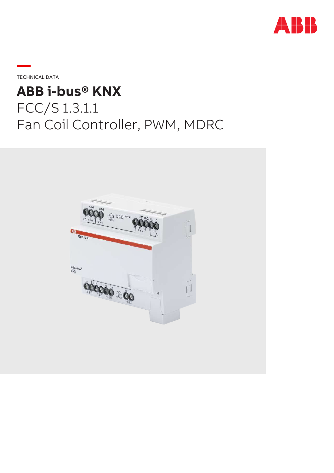

**—**TECHNICAL DATA

# **ABB i-bus® KNX** FCC/S 1.3.1.1 Fan Coil Controller, PWM, MDRC

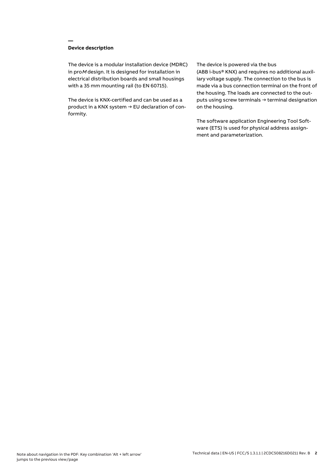## **Device description**

**—**

The device is a modular installation device (MDRC) in proM design. It is designed for installation in electrical distribution boards and small housings with a 35 mm mounting rail (to EN 60715).

The device is KNX-certified and can be used as a product in a KNX system → EU declaration of conformity.

#### The device is powered via the bus

(ABB i-bus® KNX) and requires no additional auxiliary voltage supply. The connection to the bus is made via a bus connection terminal on the front of the housing. The loads are connected to the outputs using screw terminals → terminal designation on the housing.

The software application Engineering Tool Software (ETS) is used for physical address assignment and parameterization.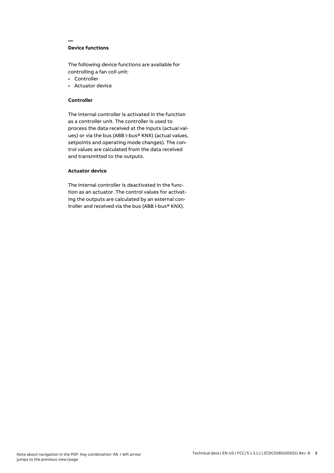## **Device functions**

**—**

The following device functions are available for controlling a fan coil unit:

- Controller
- Actuator device

#### **Controller**

The internal controller is activated in the function as a controller unit. The controller is used to process the data received at the inputs (actual values) or via the bus (ABB i-bus® KNX) (actual values, setpoints and operating mode changes). The control values are calculated from the data received and transmitted to the outputs.

## **Actuator device**

The internal controller is deactivated in the function as an actuator. The control values for activating the outputs are calculated by an external controller and received via the bus (ABB i-bus® KNX).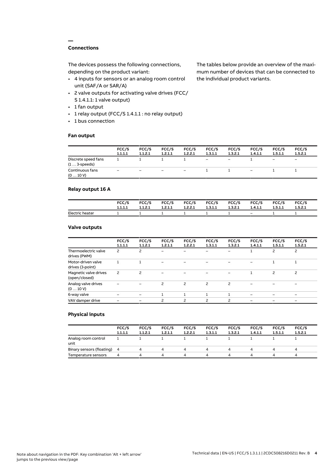## **Connections**

**—**

The devices possess the following connections, depending on the product variant:

- 4 inputs for sensors or an analog room control unit (SAF/A or SAR/A)
- 2 valve outputs for activating valve drives (FCC/ S 1.4.1.1: 1 valve output)
- 1 fan output
- 1 relay output (FCC/S 1.4.1.1 : no relay output)
- 1 bus connection

#### **Fan output**

The tables below provide an overview of the maximum number of devices that can be connected to the individual product variants.

|                                               | FCC/S<br>1.1.1.1 | FCC/S<br>1.1.2.1 | FCC/S<br>1.2.1.1  | FCC/S<br>1.2.2.1         | FCC/S<br>1.3.1.1  | FCC/S<br>1.3.2.1         | FCC/S<br>1.4.1.1  | FCC/S<br>1.5.1.1         | FCC/S<br>1.5.2.1         |
|-----------------------------------------------|------------------|------------------|-------------------|--------------------------|-------------------|--------------------------|-------------------|--------------------------|--------------------------|
| Discrete speed fans<br>$(1 \ldots 3$ -speeds) |                  |                  |                   |                          | $\qquad \qquad -$ | $\overline{\phantom{m}}$ |                   | $\overline{\phantom{m}}$ | $\overline{\phantom{0}}$ |
| Continuous fans<br>(010V)                     | -                | -                | $\qquad \qquad -$ | $\overline{\phantom{a}}$ |                   |                          | $\qquad \qquad -$ |                          |                          |

## **Relay output 16 A**

|                 | FCC/S   | FCC/S   | FCC/S   | <b>FCC/S</b> | <b>FCC/S</b> | FCC/S   | FCC/S   | FCC/S   | FCC/S   |
|-----------------|---------|---------|---------|--------------|--------------|---------|---------|---------|---------|
|                 | 1.1.1.1 | 1.1.2.1 | 1.2.1.1 | 1.2.2.1      | 1.3.1.1      | 1.3.2.1 | 1.4.1.1 | 1.5.1.1 | 1.5.2.1 |
| Electric heater |         |         |         |              |              |         | $-$     |         |         |

#### **Valve outputs**

|                                        | FCC/S<br>1.1.1.1 | FCC/S<br>1.1.2.1         | FCC/S<br>1.2.1.1         | FCC/S<br>1.2.2.1 | FCC/S<br>1.3.1.1 | FCC/S<br>1.3.2.1         | FCC/S<br>1.4.1.1 | FCC/S<br>1.5.1.1 | FCC/S<br>1.5.2.1         |  |
|----------------------------------------|------------------|--------------------------|--------------------------|------------------|------------------|--------------------------|------------------|------------------|--------------------------|--|
| Thermoelectric valve<br>drives (PWM)   | 2                | $\overline{c}$           |                          |                  |                  |                          |                  | 2                | $\overline{c}$           |  |
| Motor-driven valve<br>drives (3-point) |                  |                          |                          |                  |                  |                          |                  |                  |                          |  |
| Magnetic valve drives<br>(open/closed) | 2                | $\overline{\phantom{0}}$ |                          |                  |                  |                          |                  | $\overline{c}$   | 2                        |  |
| Analog valve drives<br>(010V)          |                  |                          | 2                        | 2                | 2                | $\overline{c}$           |                  |                  |                          |  |
| 6-way valve                            |                  |                          |                          |                  |                  |                          |                  |                  | $\overline{\phantom{0}}$ |  |
| VAV damper drive                       |                  |                          | $\overline{\phantom{a}}$ | 2                | $\mathcal{P}$    | $\overline{\phantom{0}}$ |                  |                  |                          |  |
|                                        |                  |                          |                          |                  |                  |                          |                  |                  |                          |  |

#### **Physical inputs**

|                             | FCC/S<br>1.1.1.1 | FCC/S<br>1.1.2.1 | FCC/S<br>1.2.1.1 | FCC/S<br>1.2.2.1 | FCC/S<br>1.3.1.1 | FCC/S<br>1.3.2.1 | FCC/S<br>1.4.1.1 | FCC/S<br>1.5.1.1 | FCC/S<br>1.5.2.1 |  |
|-----------------------------|------------------|------------------|------------------|------------------|------------------|------------------|------------------|------------------|------------------|--|
| Analog room control<br>unit |                  |                  |                  |                  |                  |                  |                  |                  |                  |  |
| Binary sensors (floating) 4 |                  |                  | 4                | 4                | 4                | 4                |                  | Δ.               | 4                |  |
| Temperature sensors         | 4                |                  | Δ                | Δ                | ▵                | Δ.               |                  | Δ                | $\mu$            |  |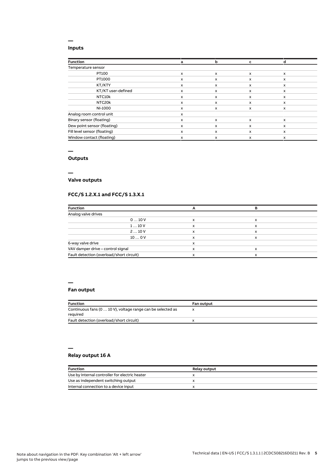#### **Inputs**

**—**

| <b>Function</b>              | a | b | c                         |              |
|------------------------------|---|---|---------------------------|--------------|
| Temperature sensor           |   |   |                           |              |
| PT100                        | x | X | $\boldsymbol{\mathsf{x}}$ | $\mathsf{x}$ |
| PT1000                       | x | X | x                         | x            |
| KT/KTY                       | x | x | x                         | x            |
| KT/KT user-defined           | x | x | X                         | $\mathsf{x}$ |
| NTC10k                       | x | x | x                         | x            |
| NTC20k                       | x | x | x                         | x            |
| NI-1000                      | x | x | x                         | x            |
| Analog room control unit     | x |   |                           |              |
| Binary sensor (floating)     | x | X | x                         | $\mathsf{x}$ |
| Dew point sensor (floating)  | x | x | X                         | x            |
| Fill level sensor (floating) | x | X | x                         | $\mathsf{x}$ |
| Window contact (floating)    | x | x | X                         | x            |

#### **—**

# **Outputs**

**—**

## **Valve outputs**

## **FCC/S 1.2.X.1 and FCC/S 1.3.X.1**

| <b>Function</b>                          |   |   |  |
|------------------------------------------|---|---|--|
| Analog valve drives                      |   |   |  |
| 010V                                     | x | x |  |
| 110V                                     |   | x |  |
| 210V                                     |   | x |  |
| 100V                                     |   | x |  |
| 6-way valve drive                        |   |   |  |
| VAV damper drive - control signal        |   | х |  |
| Fault detection (overload/short circuit) |   | x |  |

#### **—**

#### **Fan output**

| <b>Function</b>                                                         | <b>Fan output</b> |
|-------------------------------------------------------------------------|-------------------|
| Continuous fans (0  10 V), voltage range can be selected as<br>required |                   |
| Fault detection (overload/short circuit)                                |                   |

# **—**

## **Relay output 16 A**

| Function                                       | <b>Relay output</b> |
|------------------------------------------------|---------------------|
| Use by internal controller for electric heater |                     |
| Use as independent switching output            |                     |
| Internal connection to a device input          |                     |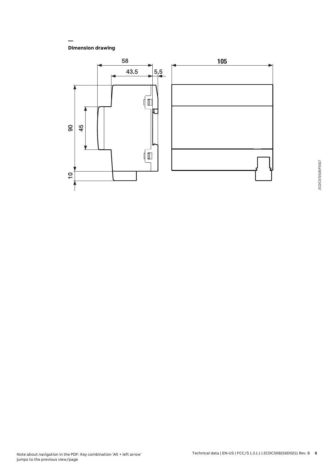**Dimension drawing**

**—**

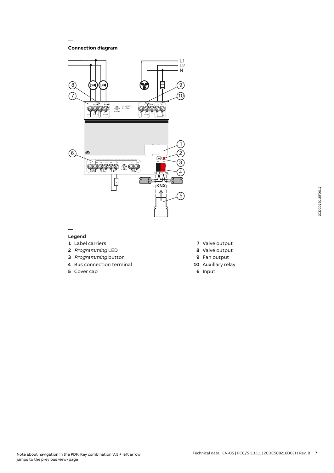**Connection diagram**

**—**



#### **— Legend**

- Label carriers
- Programming LED
- Programming button
- Bus connection terminal
- Cover cap
- Valve output
- Valve output
- Fan output
- Auxiliary relay
- Input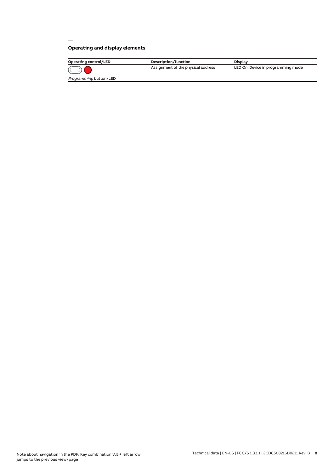# **Operating and display elements**

**—**

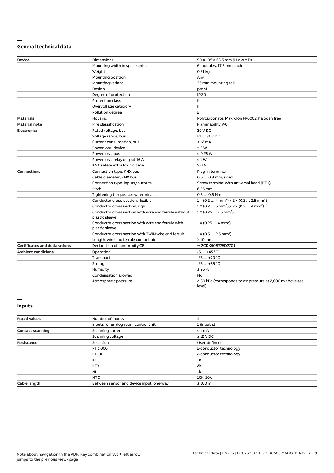#### **— General technical data**

| <b>Device</b>                        | <b>Dimensions</b>                                                       | $90 \times 105 \times 63.5$ mm (H x W x D)                                      |
|--------------------------------------|-------------------------------------------------------------------------|---------------------------------------------------------------------------------|
|                                      | Mounting width in space units                                           | 6 modules, 17.5 mm each                                                         |
|                                      | Weight                                                                  | $0.21$ kg                                                                       |
|                                      | Mounting position                                                       | Any                                                                             |
|                                      | Mounting variant                                                        | 35 mm mounting rail                                                             |
|                                      | Design                                                                  | proM                                                                            |
|                                      | Degree of protection                                                    | <b>IP 20</b>                                                                    |
|                                      | <b>Protection class</b>                                                 | Ш                                                                               |
|                                      | Overvoltage category                                                    | Ш                                                                               |
|                                      | Pollution degree                                                        | $\overline{c}$                                                                  |
| <b>Materials</b>                     | Housing                                                                 | Polycarbonate, Makrolon FR6002, halogen free                                    |
| <b>Material note</b>                 | Fire classification                                                     | Flammability V-0                                                                |
| <b>Electronics</b>                   | Rated voltage, bus                                                      | 30 V DC                                                                         |
|                                      | Voltage range, bus                                                      | 21  31 V DC                                                                     |
|                                      | Current consumption, bus                                                | < 12 mA                                                                         |
|                                      | Power loss, device                                                      | $\leq 3 W$                                                                      |
|                                      | Power loss, bus                                                         | $\leq$ 0.25 W                                                                   |
|                                      | Power loss, relay output 16 A                                           | $\leq 1 W$                                                                      |
|                                      | KNX safety extra low voltage                                            | <b>SELV</b>                                                                     |
| <b>Connections</b>                   | Connection type, KNX bus                                                | Plug-in terminal                                                                |
|                                      | Cable diameter, KNX bus                                                 | 0.6  0.8 mm, solid                                                              |
|                                      | Connection type, inputs/outputs                                         | Screw terminal with universal head (PZ 1)                                       |
|                                      | Pitch                                                                   | 6.35 mm                                                                         |
|                                      | Tightening torque, screw terminals                                      | $0.50.6$ Nm                                                                     |
|                                      | Conductor cross-section, flexible                                       | $1 \times (0.2 \ldots 4 \text{ mm}^2) / 2 \times (0.2 \ldots 2.5 \text{ mm}^2)$ |
|                                      | Conductor cross section, rigid                                          | $1 \times (0.2 \ldots 6 \text{ mm}^2) / 2 \times (0.2 \ldots 4 \text{ mm}^2)$   |
|                                      | Conductor cross section with wire end ferrule without<br>plastic sleeve | $1 \times (0.252.5 \text{ mm}^2)$                                               |
|                                      | Conductor cross section with wire end ferrule with<br>plastic sleeve    | $1 \times (0.254 \text{ mm}^2)$                                                 |
|                                      | Conductor cross section with TWIN wire end ferrule                      | $1 \times (0.52.5 \text{ mm}^2)$                                                |
|                                      | Length, wire end ferrule contact pin                                    | $\geq 10$ mm                                                                    |
| <b>Certificates and declarations</b> | Declaration of conformity CE                                            | → 2CDK508225D2701                                                               |
| <b>Ambient conditions</b>            | Operation                                                               | $-5+45$ °C                                                                      |
|                                      | Transport                                                               | $-25+70 °C$                                                                     |
|                                      | Storage                                                                 | $-25+55$ °C                                                                     |
|                                      | Humidity                                                                | $\leq$ 95 %                                                                     |
|                                      | Condensation allowed                                                    | <b>No</b>                                                                       |
|                                      | Atmospheric pressure                                                    | $\geq$ 80 kPa (corresponds to air pressure at 2,000 m above sea<br>level)       |

#### **— Inputs**

| <b>Rated values</b>     | Number of inputs                         | 4                      |
|-------------------------|------------------------------------------|------------------------|
|                         | Inputs for analog room control unit      | 1 (input a)            |
| <b>Contact scanning</b> | Scanning current                         | $\leq 1$ mA            |
|                         | Scanning voltage                         | $\leq$ 12 V DC         |
| Resistance              | Selection                                | User-defined           |
|                         | PT 1.000                                 | 2-conductor technology |
|                         | PT100                                    | 2-conductor technology |
|                         | KT                                       | 1 <sup>k</sup>         |
|                         | <b>KTY</b>                               | 2k                     |
|                         | <b>NI</b>                                | 1k                     |
|                         | NTC                                      | 10k, 20k               |
| Cable length            | Between sensor and device input, one-way | $\leq 100$ m           |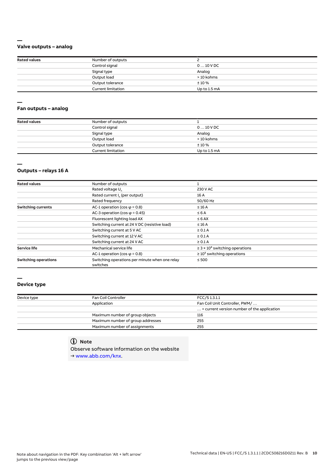#### **Valve outputs – analog**

| <b>Rated values</b> | Number of outputs         |              |
|---------------------|---------------------------|--------------|
|                     | Control signal            | $010$ V DC   |
|                     | Signal type               | Analog       |
|                     | Output load               | > 10 kohms   |
|                     | Output tolerance          | ±10%         |
|                     | <b>Current limitation</b> | Up to 1.5 mA |

#### **— Fan outputs – analog**

| <b>Rated values</b> | Number of outputs         |              |
|---------------------|---------------------------|--------------|
|                     | Control signal            | $010$ V DC   |
|                     | Signal type               | Analog       |
|                     | Output load               | > 10 kohms   |
|                     | Output tolerance          | ±10%         |
|                     | <b>Current limitation</b> | Up to 1.5 mA |

## **—**

**—**

## **Outputs – relays 16 A**

| <b>Rated values</b>         | Number of outputs                                          |                                                 |  |
|-----------------------------|------------------------------------------------------------|-------------------------------------------------|--|
|                             | Rated voltage U <sub>n</sub>                               | 230 V AC                                        |  |
|                             | Rated current I <sub>n</sub> (per output)                  | 16 A                                            |  |
|                             | Rated frequency                                            | 50/60 Hz                                        |  |
| <b>Switching currents</b>   | AC-1 operation (cos $\varphi$ = 0.8)                       | $\leq 16$ A                                     |  |
|                             | AC-3 operation (cos $\varphi$ = 0.45)                      | $\leq 6A$                                       |  |
|                             | Fluorescent lighting load AX                               | $\leq 6$ AX                                     |  |
|                             | Switching current at 24 V DC (resistive load)              | $\leq$ 16 A                                     |  |
|                             | Switching current at 5 V AC                                | $\geq 0.1$ A                                    |  |
|                             | Switching current at 12 V AC                               | $\geq 0.1$ A                                    |  |
|                             | Switching current at 24 V AC                               | $\geq 0.1$ A                                    |  |
| <b>Service life</b>         | Mechanical service life                                    | $\geq$ 3 × 10 <sup>6</sup> switching operations |  |
|                             | AC-1 operation (cos $\varphi$ = 0.8)                       | $\geq 10^5$ switching operations                |  |
| <b>Switching operations</b> | Switching operations per minute when one relay<br>switches | $\leq 500$                                      |  |

### **—**

# **Device type**

| Device type | Fan Coil Controller               | FCC/S1.3.1.1                                         |  |
|-------------|-----------------------------------|------------------------------------------------------|--|
|             | Application                       | Fan Coil Unit Controller, PWM/                       |  |
|             |                                   | $\ldots$ = current version number of the application |  |
|             | Maximum number of group objects   | 116                                                  |  |
|             | Maximum number of group addresses | 255                                                  |  |
|             | Maximum number of assignments     | 255                                                  |  |

# **Note**

Observe software information on the website → www.abb.com/knx.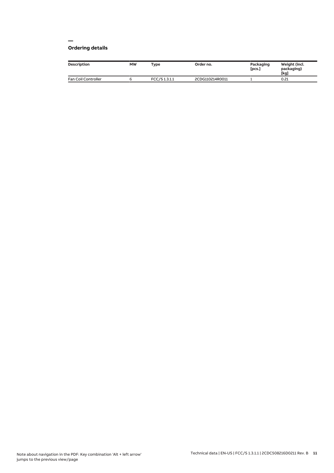#### **— Ordering details**

| <b>Description</b>         | <b>MW</b> | Type         | Order no.       | Packaging<br>[pcs.] | Weight (incl.<br>packaging)<br>[kg] |
|----------------------------|-----------|--------------|-----------------|---------------------|-------------------------------------|
| <b>Fan Coil Controller</b> |           | FCC/S1.3.1.1 | 2CDG110214R0011 |                     | 0.21                                |